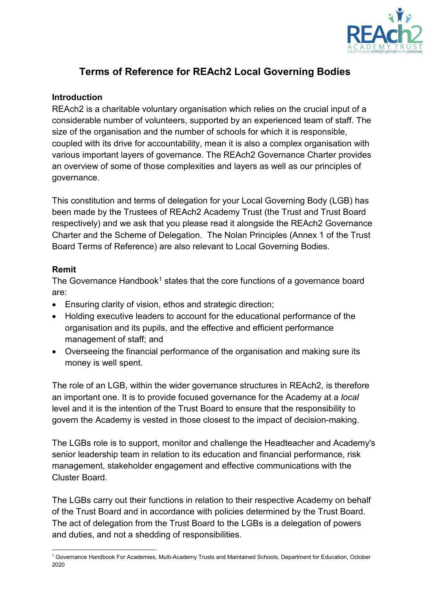

# **Terms of Reference for REAch2 Local Governing Bodies**

#### **Introduction**

REAch2 is a charitable voluntary organisation which relies on the crucial input of a considerable number of volunteers, supported by an experienced team of staff. The size of the organisation and the number of schools for which it is responsible, coupled with its drive for accountability, mean it is also a complex organisation with various important layers of governance. The REAch2 Governance Charter provides an overview of some of those complexities and layers as well as our principles of governance.

This constitution and terms of delegation for your Local Governing Body (LGB) has been made by the Trustees of REAch2 Academy Trust (the Trust and Trust Board respectively) and we ask that you please read it alongside the REAch2 Governance Charter and the Scheme of Delegation. The Nolan Principles (Annex 1 of the Trust Board Terms of Reference) are also relevant to Local Governing Bodies.

#### **Remit**

The Governance Handbook<sup>[1](#page-0-0)</sup> states that the core functions of a governance board are:

- Ensuring clarity of vision, ethos and strategic direction;
- Holding executive leaders to account for the educational performance of the organisation and its pupils, and the effective and efficient performance management of staff; and
- Overseeing the financial performance of the organisation and making sure its money is well spent.

The role of an LGB, within the wider governance structures in REAch2, is therefore an important one. It is to provide focused governance for the Academy at a *local* level and it is the intention of the Trust Board to ensure that the responsibility to govern the Academy is vested in those closest to the impact of decision-making.

The LGBs role is to support, monitor and challenge the Headteacher and Academy's senior leadership team in relation to its education and financial performance, risk management, stakeholder engagement and effective communications with the Cluster Board.

The LGBs carry out their functions in relation to their respective Academy on behalf of the Trust Board and in accordance with policies determined by the Trust Board. The act of delegation from the Trust Board to the LGBs is a delegation of powers and duties, and not a shedding of responsibilities.

<span id="page-0-0"></span> <sup>1</sup> Governance Handbook For Academies, Multi-Academy Trusts and Maintained Schools, Department for Education, October 2020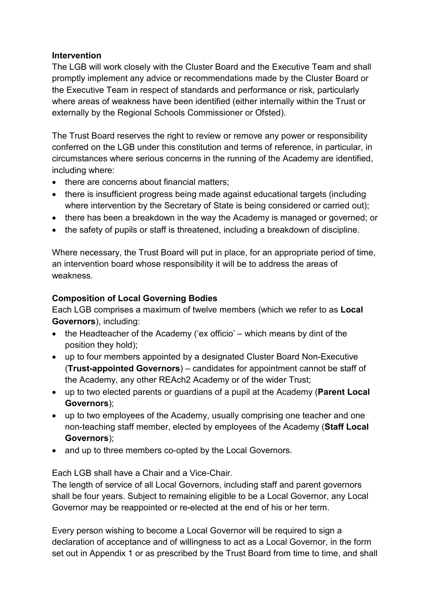#### **Intervention**

The LGB will work closely with the Cluster Board and the Executive Team and shall promptly implement any advice or recommendations made by the Cluster Board or the Executive Team in respect of standards and performance or risk, particularly where areas of weakness have been identified (either internally within the Trust or externally by the Regional Schools Commissioner or Ofsted).

The Trust Board reserves the right to review or remove any power or responsibility conferred on the LGB under this constitution and terms of reference, in particular, in circumstances where serious concerns in the running of the Academy are identified, including where:

- there are concerns about financial matters;
- there is insufficient progress being made against educational targets (including where intervention by the Secretary of State is being considered or carried out);
- there has been a breakdown in the way the Academy is managed or governed; or
- the safety of pupils or staff is threatened, including a breakdown of discipline.

Where necessary, the Trust Board will put in place, for an appropriate period of time, an intervention board whose responsibility it will be to address the areas of weakness.

### **Composition of Local Governing Bodies**

Each LGB comprises a maximum of twelve members (which we refer to as **Local Governors**), including:

- the Headteacher of the Academy ('ex officio' which means by dint of the position they hold);
- up to four members appointed by a designated Cluster Board Non-Executive (**Trust-appointed Governors**) – candidates for appointment cannot be staff of the Academy, any other REAch2 Academy or of the wider Trust;
- up to two elected parents or guardians of a pupil at the Academy (**Parent Local Governors**);
- up to two employees of the Academy, usually comprising one teacher and one non-teaching staff member, elected by employees of the Academy (**Staff Local Governors**);
- and up to three members co-opted by the Local Governors.

Each LGB shall have a Chair and a Vice-Chair.

The length of service of all Local Governors, including staff and parent governors shall be four years. Subject to remaining eligible to be a Local Governor, any Local Governor may be reappointed or re-elected at the end of his or her term.

Every person wishing to become a Local Governor will be required to sign a declaration of acceptance and of willingness to act as a Local Governor, in the form set out in Appendix 1 or as prescribed by the Trust Board from time to time, and shall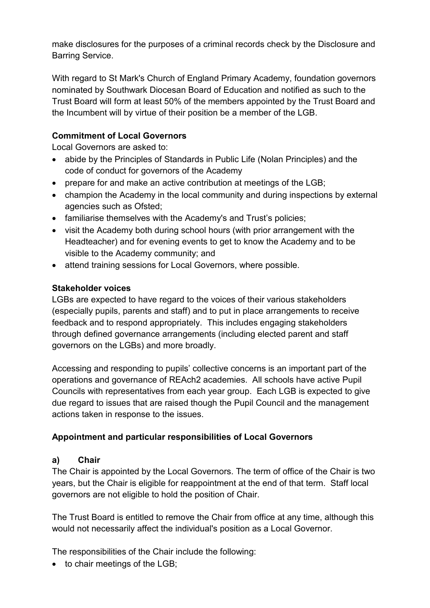make disclosures for the purposes of a criminal records check by the Disclosure and Barring Service.

With regard to St Mark's Church of England Primary Academy, foundation governors nominated by Southwark Diocesan Board of Education and notified as such to the Trust Board will form at least 50% of the members appointed by the Trust Board and the Incumbent will by virtue of their position be a member of the LGB.

### **Commitment of Local Governors**

Local Governors are asked to:

- abide by the Principles of Standards in Public Life (Nolan Principles) and the code of conduct for governors of the Academy
- prepare for and make an active contribution at meetings of the LGB;
- champion the Academy in the local community and during inspections by external agencies such as Ofsted;
- familiarise themselves with the Academy's and Trust's policies;
- visit the Academy both during school hours (with prior arrangement with the Headteacher) and for evening events to get to know the Academy and to be visible to the Academy community; and
- attend training sessions for Local Governors, where possible.

### **Stakeholder voices**

LGBs are expected to have regard to the voices of their various stakeholders (especially pupils, parents and staff) and to put in place arrangements to receive feedback and to respond appropriately. This includes engaging stakeholders through defined governance arrangements (including elected parent and staff governors on the LGBs) and more broadly.

Accessing and responding to pupils' collective concerns is an important part of the operations and governance of REAch2 academies. All schools have active Pupil Councils with representatives from each year group. Each LGB is expected to give due regard to issues that are raised though the Pupil Council and the management actions taken in response to the issues.

# **Appointment and particular responsibilities of Local Governors**

#### **a) Chair**

The Chair is appointed by the Local Governors. The term of office of the Chair is two years, but the Chair is eligible for reappointment at the end of that term. Staff local governors are not eligible to hold the position of Chair.

The Trust Board is entitled to remove the Chair from office at any time, although this would not necessarily affect the individual's position as a Local Governor.

The responsibilities of the Chair include the following:

• to chair meetings of the LGB;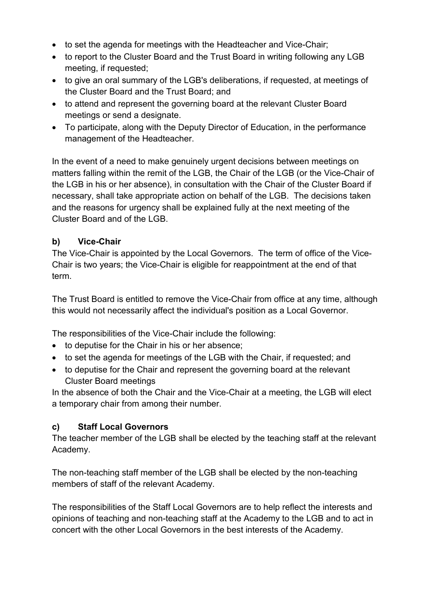- to set the agenda for meetings with the Headteacher and Vice-Chair;
- to report to the Cluster Board and the Trust Board in writing following any LGB meeting, if requested;
- to give an oral summary of the LGB's deliberations, if requested, at meetings of the Cluster Board and the Trust Board; and
- to attend and represent the governing board at the relevant Cluster Board meetings or send a designate.
- To participate, along with the Deputy Director of Education, in the performance management of the Headteacher.

In the event of a need to make genuinely urgent decisions between meetings on matters falling within the remit of the LGB, the Chair of the LGB (or the Vice-Chair of the LGB in his or her absence), in consultation with the Chair of the Cluster Board if necessary, shall take appropriate action on behalf of the LGB. The decisions taken and the reasons for urgency shall be explained fully at the next meeting of the Cluster Board and of the LGB.

### **b) Vice-Chair**

The Vice-Chair is appointed by the Local Governors. The term of office of the Vice-Chair is two years; the Vice-Chair is eligible for reappointment at the end of that term.

The Trust Board is entitled to remove the Vice-Chair from office at any time, although this would not necessarily affect the individual's position as a Local Governor.

The responsibilities of the Vice-Chair include the following:

- to deputise for the Chair in his or her absence;
- to set the agenda for meetings of the LGB with the Chair, if requested; and
- to deputise for the Chair and represent the governing board at the relevant Cluster Board meetings

In the absence of both the Chair and the Vice-Chair at a meeting, the LGB will elect a temporary chair from among their number.

#### **c) Staff Local Governors**

The teacher member of the LGB shall be elected by the teaching staff at the relevant Academy.

The non-teaching staff member of the LGB shall be elected by the non-teaching members of staff of the relevant Academy.

The responsibilities of the Staff Local Governors are to help reflect the interests and opinions of teaching and non-teaching staff at the Academy to the LGB and to act in concert with the other Local Governors in the best interests of the Academy.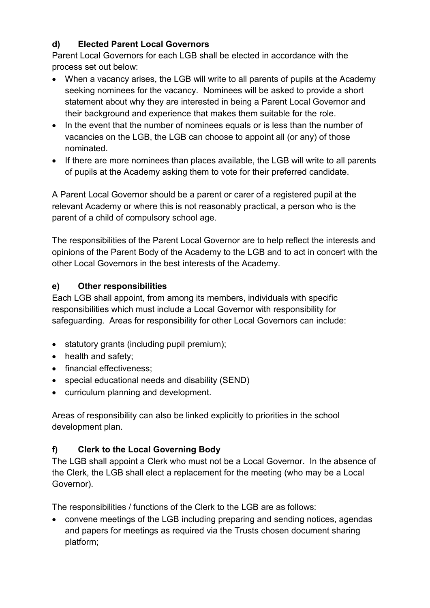# **d) Elected Parent Local Governors**

Parent Local Governors for each LGB shall be elected in accordance with the process set out below:

- When a vacancy arises, the LGB will write to all parents of pupils at the Academy seeking nominees for the vacancy. Nominees will be asked to provide a short statement about why they are interested in being a Parent Local Governor and their background and experience that makes them suitable for the role.
- In the event that the number of nominees equals or is less than the number of vacancies on the LGB, the LGB can choose to appoint all (or any) of those nominated.
- If there are more nominees than places available, the LGB will write to all parents of pupils at the Academy asking them to vote for their preferred candidate.

A Parent Local Governor should be a parent or carer of a registered pupil at the relevant Academy or where this is not reasonably practical, a person who is the parent of a child of compulsory school age.

The responsibilities of the Parent Local Governor are to help reflect the interests and opinions of the Parent Body of the Academy to the LGB and to act in concert with the other Local Governors in the best interests of the Academy.

# **e) Other responsibilities**

Each LGB shall appoint, from among its members, individuals with specific responsibilities which must include a Local Governor with responsibility for safeguarding. Areas for responsibility for other Local Governors can include:

- statutory grants (including pupil premium);
- health and safety;
- financial effectiveness:
- special educational needs and disability (SEND)
- curriculum planning and development.

Areas of responsibility can also be linked explicitly to priorities in the school development plan.

# **f) Clerk to the Local Governing Body**

The LGB shall appoint a Clerk who must not be a Local Governor. In the absence of the Clerk, the LGB shall elect a replacement for the meeting (who may be a Local Governor).

The responsibilities / functions of the Clerk to the LGB are as follows:

• convene meetings of the LGB including preparing and sending notices, agendas and papers for meetings as required via the Trusts chosen document sharing platform;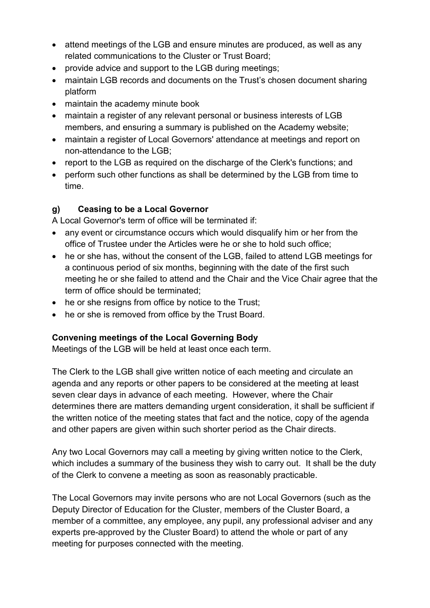- attend meetings of the LGB and ensure minutes are produced, as well as any related communications to the Cluster or Trust Board;
- provide advice and support to the LGB during meetings;
- maintain LGB records and documents on the Trust's chosen document sharing platform
- maintain the academy minute book
- maintain a register of any relevant personal or business interests of LGB members, and ensuring a summary is published on the Academy website;
- maintain a register of Local Governors' attendance at meetings and report on non-attendance to the LGB;
- report to the LGB as required on the discharge of the Clerk's functions; and
- perform such other functions as shall be determined by the LGB from time to time.

### **g) Ceasing to be a Local Governor**

A Local Governor's term of office will be terminated if:

- any event or circumstance occurs which would disqualify him or her from the office of Trustee under the Articles were he or she to hold such office;
- he or she has, without the consent of the LGB, failed to attend LGB meetings for a continuous period of six months, beginning with the date of the first such meeting he or she failed to attend and the Chair and the Vice Chair agree that the term of office should be terminated;
- he or she resigns from office by notice to the Trust;
- he or she is removed from office by the Trust Board.

# **Convening meetings of the Local Governing Body**

Meetings of the LGB will be held at least once each term.

The Clerk to the LGB shall give written notice of each meeting and circulate an agenda and any reports or other papers to be considered at the meeting at least seven clear days in advance of each meeting. However, where the Chair determines there are matters demanding urgent consideration, it shall be sufficient if the written notice of the meeting states that fact and the notice, copy of the agenda and other papers are given within such shorter period as the Chair directs.

Any two Local Governors may call a meeting by giving written notice to the Clerk, which includes a summary of the business they wish to carry out. It shall be the duty of the Clerk to convene a meeting as soon as reasonably practicable.

The Local Governors may invite persons who are not Local Governors (such as the Deputy Director of Education for the Cluster, members of the Cluster Board, a member of a committee, any employee, any pupil, any professional adviser and any experts pre-approved by the Cluster Board) to attend the whole or part of any meeting for purposes connected with the meeting.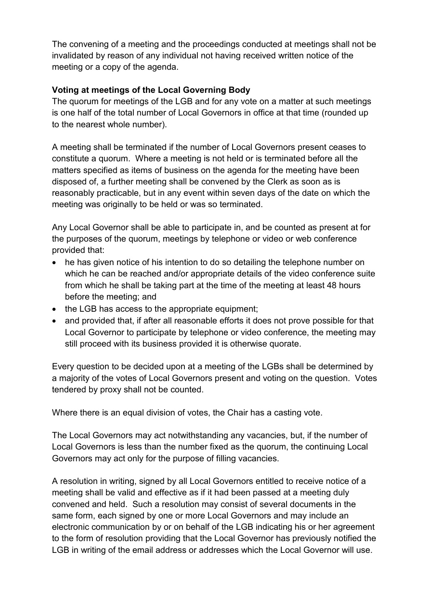The convening of a meeting and the proceedings conducted at meetings shall not be invalidated by reason of any individual not having received written notice of the meeting or a copy of the agenda.

#### **Voting at meetings of the Local Governing Body**

The quorum for meetings of the LGB and for any vote on a matter at such meetings is one half of the total number of Local Governors in office at that time (rounded up to the nearest whole number).

A meeting shall be terminated if the number of Local Governors present ceases to constitute a quorum. Where a meeting is not held or is terminated before all the matters specified as items of business on the agenda for the meeting have been disposed of, a further meeting shall be convened by the Clerk as soon as is reasonably practicable, but in any event within seven days of the date on which the meeting was originally to be held or was so terminated.

Any Local Governor shall be able to participate in, and be counted as present at for the purposes of the quorum, meetings by telephone or video or web conference provided that:

- he has given notice of his intention to do so detailing the telephone number on which he can be reached and/or appropriate details of the video conference suite from which he shall be taking part at the time of the meeting at least 48 hours before the meeting; and
- the LGB has access to the appropriate equipment;
- and provided that, if after all reasonable efforts it does not prove possible for that Local Governor to participate by telephone or video conference, the meeting may still proceed with its business provided it is otherwise quorate.

Every question to be decided upon at a meeting of the LGBs shall be determined by a majority of the votes of Local Governors present and voting on the question. Votes tendered by proxy shall not be counted.

Where there is an equal division of votes, the Chair has a casting vote.

The Local Governors may act notwithstanding any vacancies, but, if the number of Local Governors is less than the number fixed as the quorum, the continuing Local Governors may act only for the purpose of filling vacancies.

A resolution in writing, signed by all Local Governors entitled to receive notice of a meeting shall be valid and effective as if it had been passed at a meeting duly convened and held. Such a resolution may consist of several documents in the same form, each signed by one or more Local Governors and may include an electronic communication by or on behalf of the LGB indicating his or her agreement to the form of resolution providing that the Local Governor has previously notified the LGB in writing of the email address or addresses which the Local Governor will use.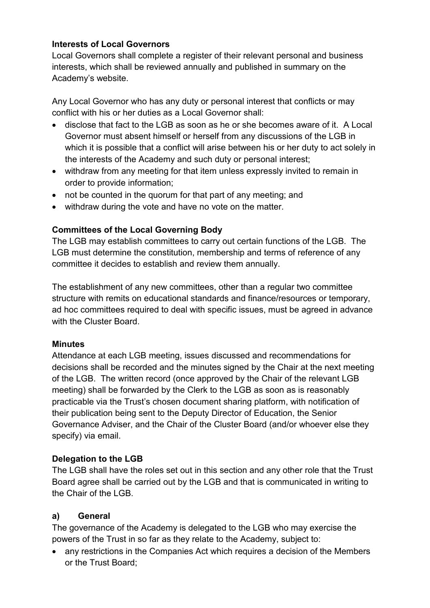### **Interests of Local Governors**

Local Governors shall complete a register of their relevant personal and business interests, which shall be reviewed annually and published in summary on the Academy's website.

Any Local Governor who has any duty or personal interest that conflicts or may conflict with his or her duties as a Local Governor shall:

- disclose that fact to the LGB as soon as he or she becomes aware of it. A Local Governor must absent himself or herself from any discussions of the LGB in which it is possible that a conflict will arise between his or her duty to act solely in the interests of the Academy and such duty or personal interest;
- withdraw from any meeting for that item unless expressly invited to remain in order to provide information;
- not be counted in the quorum for that part of any meeting; and
- withdraw during the vote and have no vote on the matter.

### **Committees of the Local Governing Body**

The LGB may establish committees to carry out certain functions of the LGB. The LGB must determine the constitution, membership and terms of reference of any committee it decides to establish and review them annually.

The establishment of any new committees, other than a regular two committee structure with remits on educational standards and finance/resources or temporary, ad hoc committees required to deal with specific issues, must be agreed in advance with the Cluster Board.

#### **Minutes**

Attendance at each LGB meeting, issues discussed and recommendations for decisions shall be recorded and the minutes signed by the Chair at the next meeting of the LGB. The written record (once approved by the Chair of the relevant LGB meeting) shall be forwarded by the Clerk to the LGB as soon as is reasonably practicable via the Trust's chosen document sharing platform, with notification of their publication being sent to the Deputy Director of Education, the Senior Governance Adviser, and the Chair of the Cluster Board (and/or whoever else they specify) via email.

#### **Delegation to the LGB**

The LGB shall have the roles set out in this section and any other role that the Trust Board agree shall be carried out by the LGB and that is communicated in writing to the Chair of the LGB.

#### **a) General**

The governance of the Academy is delegated to the LGB who may exercise the powers of the Trust in so far as they relate to the Academy, subject to:

• any restrictions in the Companies Act which requires a decision of the Members or the Trust Board;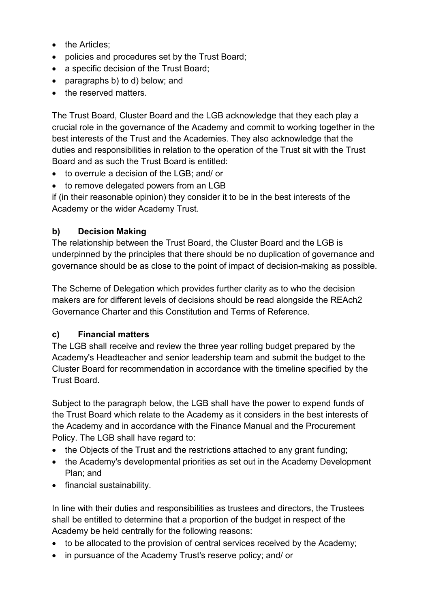- the Articles;
- policies and procedures set by the Trust Board;
- a specific decision of the Trust Board;
- paragraphs b) to d) below; and
- the reserved matters.

The Trust Board, Cluster Board and the LGB acknowledge that they each play a crucial role in the governance of the Academy and commit to working together in the best interests of the Trust and the Academies. They also acknowledge that the duties and responsibilities in relation to the operation of the Trust sit with the Trust Board and as such the Trust Board is entitled:

- to overrule a decision of the LGB; and/ or
- to remove delegated powers from an LGB

if (in their reasonable opinion) they consider it to be in the best interests of the Academy or the wider Academy Trust.

#### **b) Decision Making**

The relationship between the Trust Board, the Cluster Board and the LGB is underpinned by the principles that there should be no duplication of governance and governance should be as close to the point of impact of decision-making as possible.

The Scheme of Delegation which provides further clarity as to who the decision makers are for different levels of decisions should be read alongside the REAch2 Governance Charter and this Constitution and Terms of Reference.

#### **c) Financial matters**

The LGB shall receive and review the three year rolling budget prepared by the Academy's Headteacher and senior leadership team and submit the budget to the Cluster Board for recommendation in accordance with the timeline specified by the Trust Board.

Subject to the paragraph below, the LGB shall have the power to expend funds of the Trust Board which relate to the Academy as it considers in the best interests of the Academy and in accordance with the Finance Manual and the Procurement Policy. The LGB shall have regard to:

- the Objects of the Trust and the restrictions attached to any grant funding;
- the Academy's developmental priorities as set out in the Academy Development Plan; and
- financial sustainability.

In line with their duties and responsibilities as trustees and directors, the Trustees shall be entitled to determine that a proportion of the budget in respect of the Academy be held centrally for the following reasons:

- to be allocated to the provision of central services received by the Academy;
- in pursuance of the Academy Trust's reserve policy; and/ or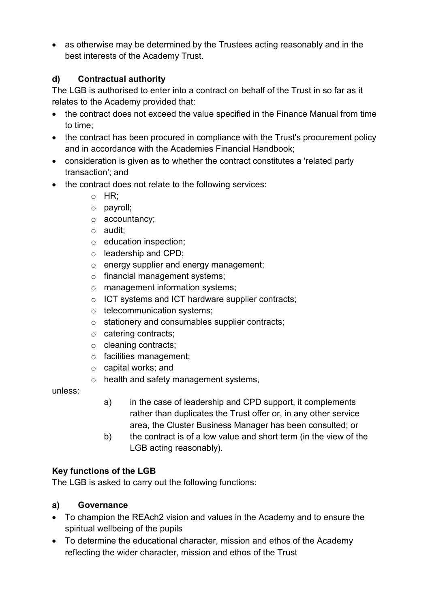• as otherwise may be determined by the Trustees acting reasonably and in the best interests of the Academy Trust.

# **d) Contractual authority**

The LGB is authorised to enter into a contract on behalf of the Trust in so far as it relates to the Academy provided that:

- the contract does not exceed the value specified in the Finance Manual from time to time;
- the contract has been procured in compliance with the Trust's procurement policy and in accordance with the Academies Financial Handbook;
- consideration is given as to whether the contract constitutes a 'related party transaction'; and
- the contract does not relate to the following services:
	- $\circ$  HR:
	- o payroll;
	- o accountancy;
	- o audit;
	- o education inspection;
	- o leadership and CPD;
	- o energy supplier and energy management;
	- o financial management systems;
	- o management information systems;
	- o ICT systems and ICT hardware supplier contracts;
	- o telecommunication systems;
	- o stationery and consumables supplier contracts;
	- o catering contracts;
	- o cleaning contracts;
	- o facilities management;
	- o capital works; and
	- o health and safety management systems,

unless:

- a) in the case of leadership and CPD support, it complements rather than duplicates the Trust offer or, in any other service area, the Cluster Business Manager has been consulted; or
- b) the contract is of a low value and short term (in the view of the LGB acting reasonably).

# **Key functions of the LGB**

The LGB is asked to carry out the following functions:

# **a) Governance**

- To champion the REAch2 vision and values in the Academy and to ensure the spiritual wellbeing of the pupils
- To determine the educational character, mission and ethos of the Academy reflecting the wider character, mission and ethos of the Trust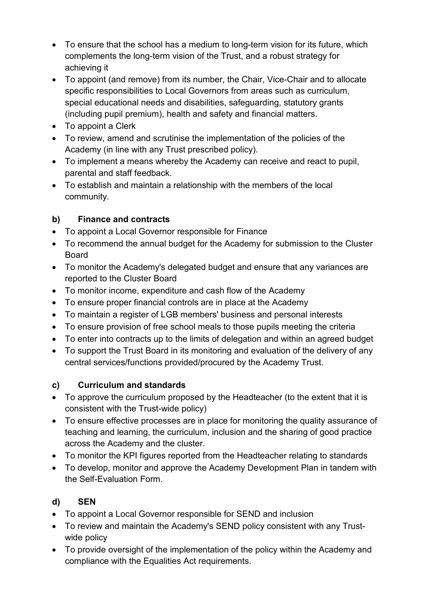- To ensure that the school has a medium to long-term vision for its future, which complements the long-term vision of the Trust, and a robust strategy for achieving it
- To appoint (and remove) from its number, the Chair, Vice-Chair and to allocate specific responsibilities to Local Governors from areas such as curriculum, special educational needs and disabilities, safeguarding, statutory grants (including pupil premium), health and safety and financial matters.
- To appoint a Clerk
- To review, amend and scrutinise the implementation of the policies of the Academy (in line with any Trust prescribed policy).
- To implement a means whereby the Academy can receive and react to pupil, parental and staff feedback.
- To establish and maintain a relationship with the members of the local community.

# **b) Finance and contracts**

- To appoint a Local Governor responsible for Finance
- To recommend the annual budget for the Academy for submission to the Cluster Board
- To monitor the Academy's delegated budget and ensure that any variances are reported to the Cluster Board
- To monitor income, expenditure and cash flow of the Academy
- To ensure proper financial controls are in place at the Academy
- To maintain a register of LGB members' business and personal interests
- To ensure provision of free school meals to those pupils meeting the criteria
- To enter into contracts up to the limits of delegation and within an agreed budget
- To support the Trust Board in its monitoring and evaluation of the delivery of any central services/functions provided/procured by the Academy Trust.

# **c) Curriculum and standards**

- To approve the curriculum proposed by the Headteacher (to the extent that it is consistent with the Trust-wide policy)
- To ensure effective processes are in place for monitoring the quality assurance of teaching and learning, the curriculum, inclusion and the sharing of good practice across the Academy and the cluster.
- To monitor the KPI figures reported from the Headteacher relating to standards
- To develop, monitor and approve the Academy Development Plan in tandem with the Self-Evaluation Form.

# **d) SEN**

- To appoint a Local Governor responsible for SEND and inclusion
- To review and maintain the Academy's SEND policy consistent with any Trustwide policy
- To provide oversight of the implementation of the policy within the Academy and compliance with the Equalities Act requirements.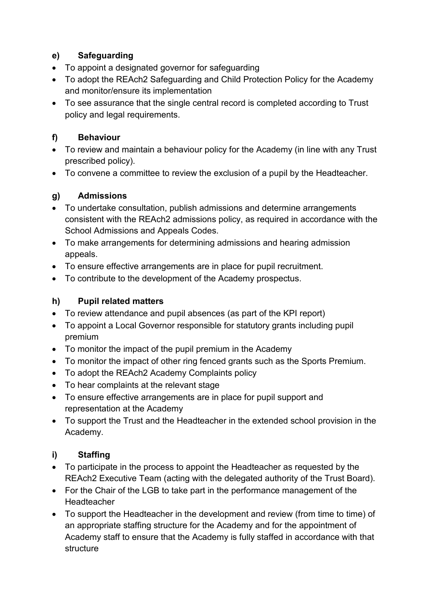# **e) Safeguarding**

- To appoint a designated governor for safeguarding
- To adopt the REAch2 Safeguarding and Child Protection Policy for the Academy and monitor/ensure its implementation
- To see assurance that the single central record is completed according to Trust policy and legal requirements.

# **f) Behaviour**

- To review and maintain a behaviour policy for the Academy (in line with any Trust prescribed policy).
- To convene a committee to review the exclusion of a pupil by the Headteacher.

# **g) Admissions**

- To undertake consultation, publish admissions and determine arrangements consistent with the REAch2 admissions policy, as required in accordance with the School Admissions and Appeals Codes.
- To make arrangements for determining admissions and hearing admission appeals.
- To ensure effective arrangements are in place for pupil recruitment.
- To contribute to the development of the Academy prospectus.

# **h) Pupil related matters**

- To review attendance and pupil absences (as part of the KPI report)
- To appoint a Local Governor responsible for statutory grants including pupil premium
- To monitor the impact of the pupil premium in the Academy
- To monitor the impact of other ring fenced grants such as the Sports Premium.
- To adopt the REAch2 Academy Complaints policy
- To hear complaints at the relevant stage
- To ensure effective arrangements are in place for pupil support and representation at the Academy
- To support the Trust and the Headteacher in the extended school provision in the Academy.

# **i) Staffing**

- To participate in the process to appoint the Headteacher as requested by the REAch2 Executive Team (acting with the delegated authority of the Trust Board).
- For the Chair of the LGB to take part in the performance management of the Headteacher
- To support the Headteacher in the development and review (from time to time) of an appropriate staffing structure for the Academy and for the appointment of Academy staff to ensure that the Academy is fully staffed in accordance with that structure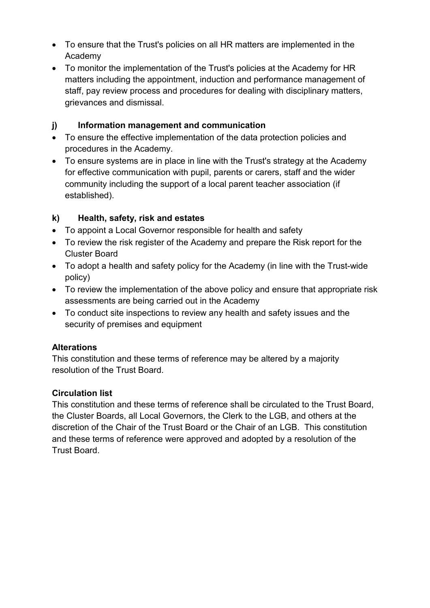- To ensure that the Trust's policies on all HR matters are implemented in the Academy
- To monitor the implementation of the Trust's policies at the Academy for HR matters including the appointment, induction and performance management of staff, pay review process and procedures for dealing with disciplinary matters, grievances and dismissal.

# **j) Information management and communication**

- To ensure the effective implementation of the data protection policies and procedures in the Academy.
- To ensure systems are in place in line with the Trust's strategy at the Academy for effective communication with pupil, parents or carers, staff and the wider community including the support of a local parent teacher association (if established).

# **k) Health, safety, risk and estates**

- To appoint a Local Governor responsible for health and safety
- To review the risk register of the Academy and prepare the Risk report for the Cluster Board
- To adopt a health and safety policy for the Academy (in line with the Trust-wide policy)
- To review the implementation of the above policy and ensure that appropriate risk assessments are being carried out in the Academy
- To conduct site inspections to review any health and safety issues and the security of premises and equipment

#### **Alterations**

This constitution and these terms of reference may be altered by a majority resolution of the Trust Board.

#### **Circulation list**

This constitution and these terms of reference shall be circulated to the Trust Board, the Cluster Boards, all Local Governors, the Clerk to the LGB, and others at the discretion of the Chair of the Trust Board or the Chair of an LGB. This constitution and these terms of reference were approved and adopted by a resolution of the Trust Board.